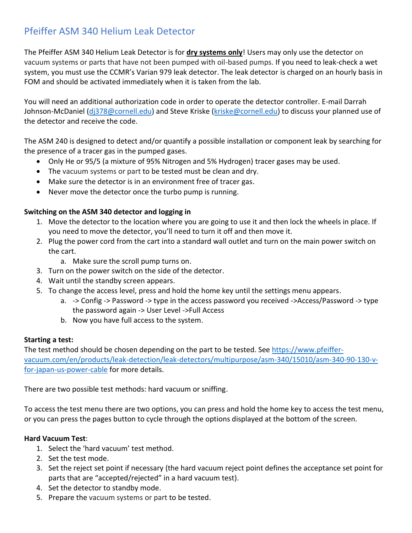# Pfeiffer ASM 340 Helium Leak Detector

The Pfeiffer ASM 340 Helium Leak Detector is for **dry systems only**! Users may only use the detector on vacuum systems or parts that have not been pumped with oil-based pumps. If you need to leak-check a wet system, you must use the CCMR's Varian 979 leak detector. The leak detector is charged on an hourly basis in FOM and should be activated immediately when it is taken from the lab.

You will need an additional authorization code in order to operate the detector controller. E-mail Darrah Johnson-McDaniel [\(dj378@cornell.edu\)](mailto:dj378@cornell.edu) and Steve Kriske [\(kriske@cornell.edu\)](mailto:kriske@cornell.edu) to discuss your planned use of the detector and receive the code.

The ASM 240 is designed to detect and/or quantify a possible installation or component leak by searching for the presence of a tracer gas in the pumped gases.

- Only He or 95/5 (a mixture of 95% Nitrogen and 5% Hydrogen) tracer gases may be used.
- The vacuum systems or part to be tested must be clean and dry.
- Make sure the detector is in an environment free of tracer gas.
- Never move the detector once the turbo pump is running.

#### **Switching on the ASM 340 detector and logging in**

- 1. Move the detector to the location where you are going to use it and then lock the wheels in place. If you need to move the detector, you'll need to turn it off and then move it.
- 2. Plug the power cord from the cart into a standard wall outlet and turn on the main power switch on the cart.
	- a. Make sure the scroll pump turns on.
- 3. Turn on the power switch on the side of the detector.
- 4. Wait until the standby screen appears.
- 5. To change the access level, press and hold the home key until the settings menu appears.
	- a. -> Config -> Password -> type in the access password you received ->Access/Password -> type the password again -> User Level ->Full Access
	- b. Now you have full access to the system.

#### **Starting a test:**

The test method should be chosen depending on the part to be tested. See [https://www.pfeiffer](https://www.pfeiffer-vacuum.com/en/products/leak-detection/leak-detectors/multipurpose/asm-340/15010/asm-340-90-130-v-for-japan-us-power-cable)[vacuum.com/en/products/leak-detection/leak-detectors/multipurpose/asm-340/15010/asm-340-90-130-v](https://www.pfeiffer-vacuum.com/en/products/leak-detection/leak-detectors/multipurpose/asm-340/15010/asm-340-90-130-v-for-japan-us-power-cable)[for-japan-us-power-cable](https://www.pfeiffer-vacuum.com/en/products/leak-detection/leak-detectors/multipurpose/asm-340/15010/asm-340-90-130-v-for-japan-us-power-cable) for more details.

There are two possible test methods: hard vacuum or sniffing.

To access the test menu there are two options, you can press and hold the home key to access the test menu, or you can press the pages button to cycle through the options displayed at the bottom of the screen.

#### **Hard Vacuum Test**:

- 1. Select the 'hard vacuum' test method.
- 2. Set the test mode.
- 3. Set the reject set point if necessary (the hard vacuum reject point defines the acceptance set point for parts that are "accepted/rejected" in a hard vacuum test).
- 4. Set the detector to standby mode.
- 5. Prepare the vacuum systems or part to be tested.